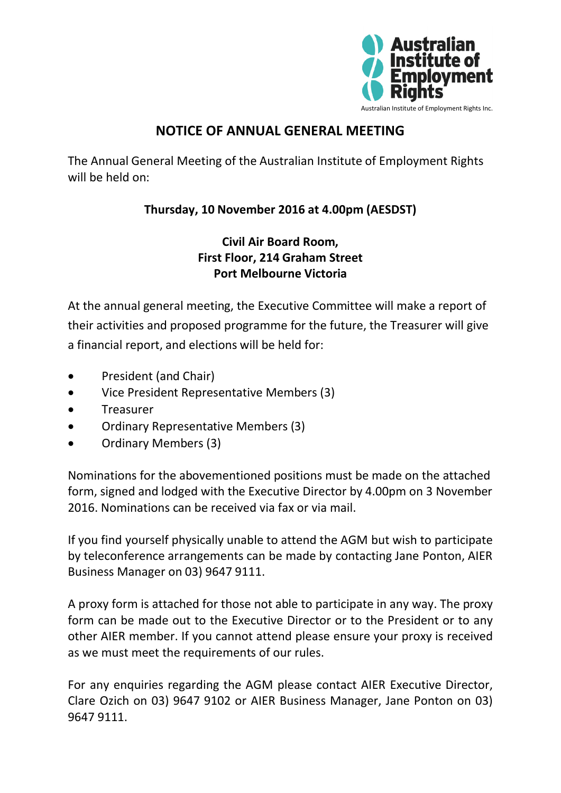

# **NOTICE OF ANNUAL GENERAL MEETING**

The Annual General Meeting of the Australian Institute of Employment Rights will be held on:

## **Thursday, 10 November 2016 at 4.00pm (AESDST)**

## **Civil Air Board Room, First Floor, 214 Graham Street Port Melbourne Victoria**

At the annual general meeting, the Executive Committee will make a report of their activities and proposed programme for the future, the Treasurer will give a financial report, and elections will be held for:

- President (and Chair)
- Vice President Representative Members (3)
- Treasurer
- Ordinary Representative Members (3)
- Ordinary Members (3)

Nominations for the abovementioned positions must be made on the attached form, signed and lodged with the Executive Director by 4.00pm on 3 November 2016. Nominations can be received via fax or via mail.

If you find yourself physically unable to attend the AGM but wish to participate by teleconference arrangements can be made by contacting Jane Ponton, AIER Business Manager on 03) 9647 9111.

A proxy form is attached for those not able to participate in any way. The proxy form can be made out to the Executive Director or to the President or to any other AIER member. If you cannot attend please ensure your proxy is received as we must meet the requirements of our rules.

For any enquiries regarding the AGM please contact AIER Executive Director, Clare Ozich on 03) 9647 9102 or AIER Business Manager, Jane Ponton on 03) 9647 9111.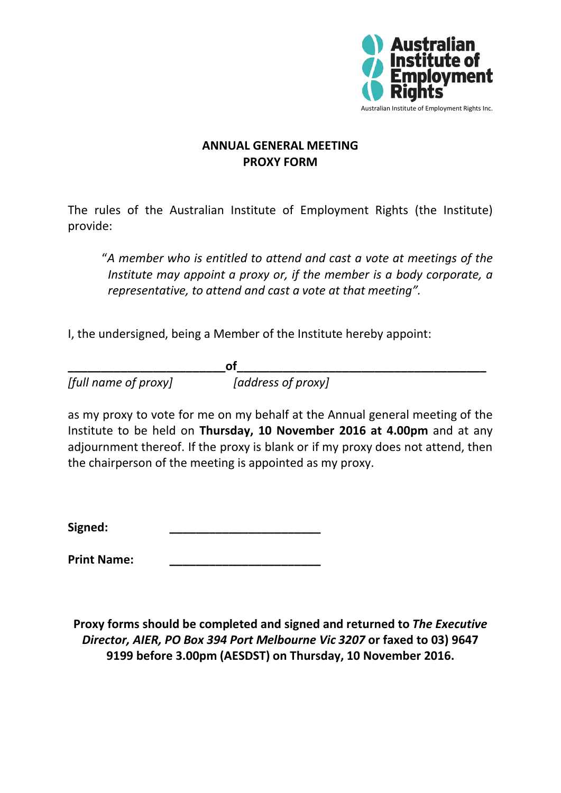

### **ANNUAL GENERAL MEETING PROXY FORM**

The rules of the Australian Institute of Employment Rights (the Institute) provide:

"*A member who is entitled to attend and cast a vote at meetings of the Institute may appoint a proxy or, if the member is a body corporate, a representative, to attend and cast a vote at that meeting".*

I, the undersigned, being a Member of the Institute hereby appoint:

**\_\_\_\_\_\_\_\_\_\_\_\_\_\_\_\_\_\_\_\_\_\_\_\_of\_\_\_\_\_\_\_\_\_\_\_\_\_\_\_\_\_\_\_\_\_\_\_\_\_\_\_\_\_\_\_\_\_\_\_\_\_\_** *[full name of proxy] [address of proxy]*

as my proxy to vote for me on my behalf at the Annual general meeting of the Institute to be held on **Thursday, 10 November 2016 at 4.00pm** and at any adjournment thereof. If the proxy is blank or if my proxy does not attend, then the chairperson of the meeting is appointed as my proxy.

**Signed: \_\_\_\_\_\_\_\_\_\_\_\_\_\_\_\_\_\_\_\_\_\_\_**

**Print Name: \_\_\_\_\_\_\_\_\_\_\_\_\_\_\_\_\_\_\_\_\_\_\_**

**Proxy forms should be completed and signed and returned to** *The Executive Director, AIER, PO Box 394 Port Melbourne Vic 3207* **or faxed to 03) 9647 9199 before 3.00pm (AESDST) on Thursday, 10 November 2016.**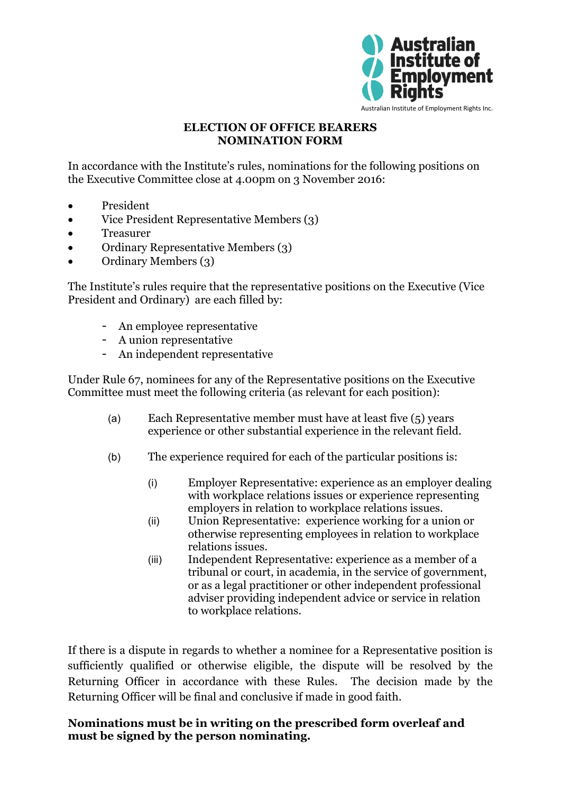

#### **ELECTION OF OFFICE BEARERS NOMINATION FORM**

In accordance with the Institute's rules, nominations for the following positions on the Executive Committee close at 4.00pm on 3 November 2016:

- President
- Vice President Representative Members (3)
- Treasurer
- Ordinary Representative Members (3)
- Ordinary Members (3)

The Institute's rules require that the representative positions on the Executive (Vice President and Ordinary) are each filled by:

- An employee representative
- A union representative
- An independent representative

Under Rule 67, nominees for any of the Representative positions on the Executive Committee must meet the following criteria (as relevant for each position):

- (a) Each Representative member must have at least five (5) years experience or other substantial experience in the relevant field.
- (b) The experience required for each of the particular positions is:
	- (i) Employer Representative: experience as an employer dealing with workplace relations issues or experience representing employers in relation to workplace relations issues.
	- (ii) Union Representative: experience working for a union or otherwise representing employees in relation to workplace relations issues.
	- (iii) Independent Representative: experience as a member of a tribunal or court, in academia, in the service of government, or as a legal practitioner or other independent professional adviser providing independent advice or service in relation to workplace relations.

If there is a dispute in regards to whether a nominee for a Representative position is sufficiently qualified or otherwise eligible, the dispute will be resolved by the Returning Officer in accordance with these Rules. The decision made by the Returning Officer will be final and conclusive if made in good faith.

#### **Nominations must be in writing on the prescribed form overleaf and must be signed by the person nominating.**